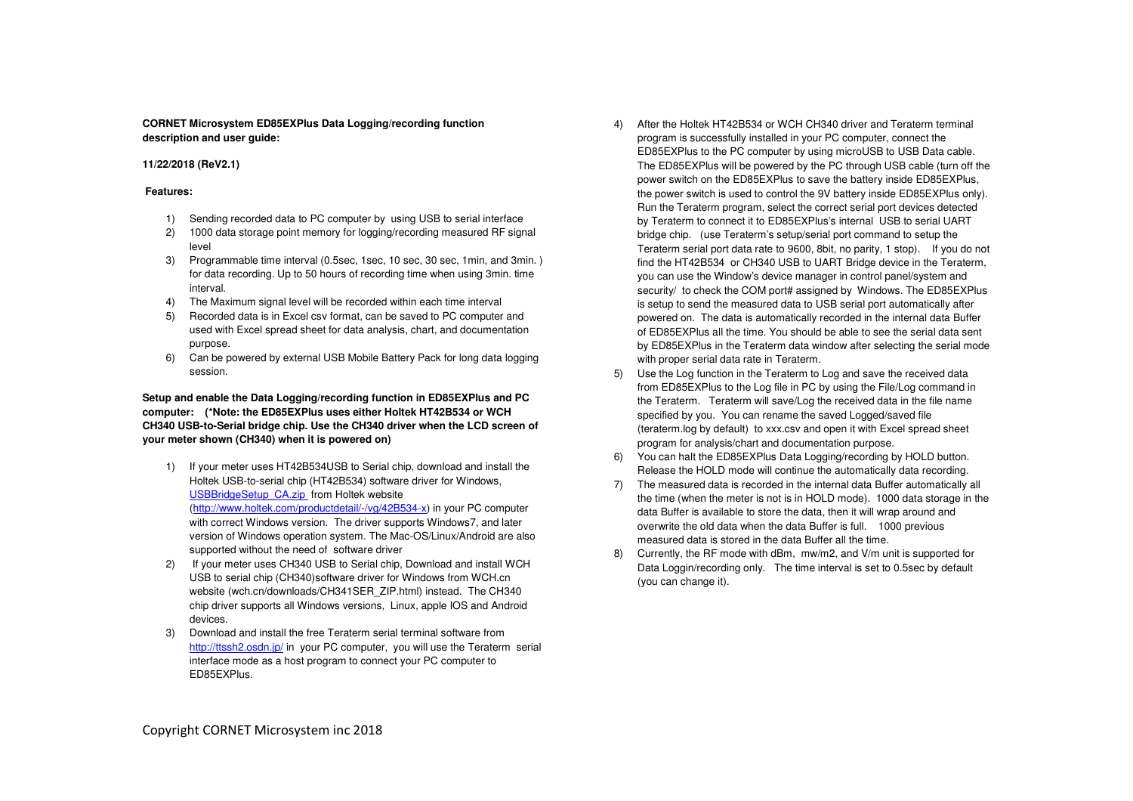## **CORNET Microsystem ED85EXPlus Data Logging/recording function description and user guide:**

## **11/22/2018 (ReV2.1)**

## **Features:**

- 1) Sending recorded data to PC computer by using USB to serial interface
- 2) 1000 data storage point memory for logging/recording measured RF signal level
- 3) Programmable time interval (0.5sec, 1sec, 10 sec, 30 sec, 1min, and 3min. ) for data recording. Up to 50 hours of recording time when using 3min. time interval.
- 4) The Maximum signal level will be recorded within each time interval
- 5) Recorded data is in Excel csv format, can be saved to PC computer and used with Excel spread sheet for data analysis, chart, and documentation purpose.
- 6) Can be powered by external USB Mobile Battery Pack for long data logging session.

# **Setup and enable the Data Logging/recording function in ED85EXPlus and PC computer: (\*Note: the ED85EXPlus uses either Holtek HT42B534 or WCH CH340 USB-to-Serial bridge chip. Use the CH340 driver when the LCD screen of your meter shown (CH340) when it is powered on)**

- 1) If your meter uses HT42B534USB to Serial chip, download and install the Holtek USB-to-serial chip (HT42B534) software driver for Windows, USBBridgeSetup\_CA.zip from Holtek website (http://www.holtek.com/productdetail/-/vg/42B534-x) in your PC computer with correct Windows version. The driver supports Windows7, and later version of Windows operation system. The Mac-OS/Linux/Android are also supported without the need of software driver
- 2) If your meter uses CH340 USB to Serial chip, Download and install WCH USB to serial chip (CH340)software driver for Windows from WCH.cn website (wch.cn/downloads/CH341SER\_ZIP.html) instead. The CH340 chip driver supports all Windows versions, Linux, apple IOS and Android devices.
- 3) Download and install the free Teraterm serial terminal software from http://ttssh2.osdn.jp/ in your PC computer, you will use the Teraterm serial interface mode as a host program to connect your PC computer to ED85EXPlus.
- 4) After the Holtek HT42B534 or WCH CH340 driver and Teraterm terminal program is successfully installed in your PC computer, connect the ED85EXPlus to the PC computer by using microUSB to USB Data cable. The ED85EXPlus will be powered by the PC through USB cable (turn off the power switch on the ED85EXPlus to save the battery inside ED85EXPlus, the power switch is used to control the 9V battery inside ED85EXPlus only). Run the Teraterm program, select the correct serial port devices detected by Teraterm to connect it to ED85EXPlus's internal USB to serial UART bridge chip. (use Teraterm's setup/serial port command to setup the Teraterm serial port data rate to 9600, 8bit, no parity, 1 stop). If you do not find the HT42B534 or CH340 USB to UART Bridge device in the Teraterm, you can use the Window's device manager in control panel/system and security/ to check the COM port# assigned by Windows. The ED85EXPlus is setup to send the measured data to USB serial port automatically after powered on. The data is automatically recorded in the internal data Buffer of ED85EXPlus all the time. You should be able to see the serial data sent by ED85EXPlus in the Teraterm data window after selecting the serial mode with proper serial data rate in Teraterm.
- 5) Use the Log function in the Teraterm to Log and save the received data from ED85EXPlus to the Log file in PC by using the File/Log command in the Teraterm. Teraterm will save/Log the received data in the file name specified by you. You can rename the saved Logged/saved file (teraterm.log by default) to xxx.csv and open it with Excel spread sheet program for analysis/chart and documentation purpose.
- 6) You can halt the ED85EXPlus Data Logging/recording by HOLD button. Release the HOLD mode will continue the automatically data recording.
- 7) The measured data is recorded in the internal data Buffer automatically all the time (when the meter is not is in HOLD mode). 1000 data storage in the data Buffer is available to store the data, then it will wrap around and overwrite the old data when the data Buffer is full. 1000 previous measured data is stored in the data Buffer all the time.
- 8) Currently, the RF mode with dBm, mw/m2, and V/m unit is supported for Data Loggin/recording only. The time interval is set to 0.5sec by default (you can change it).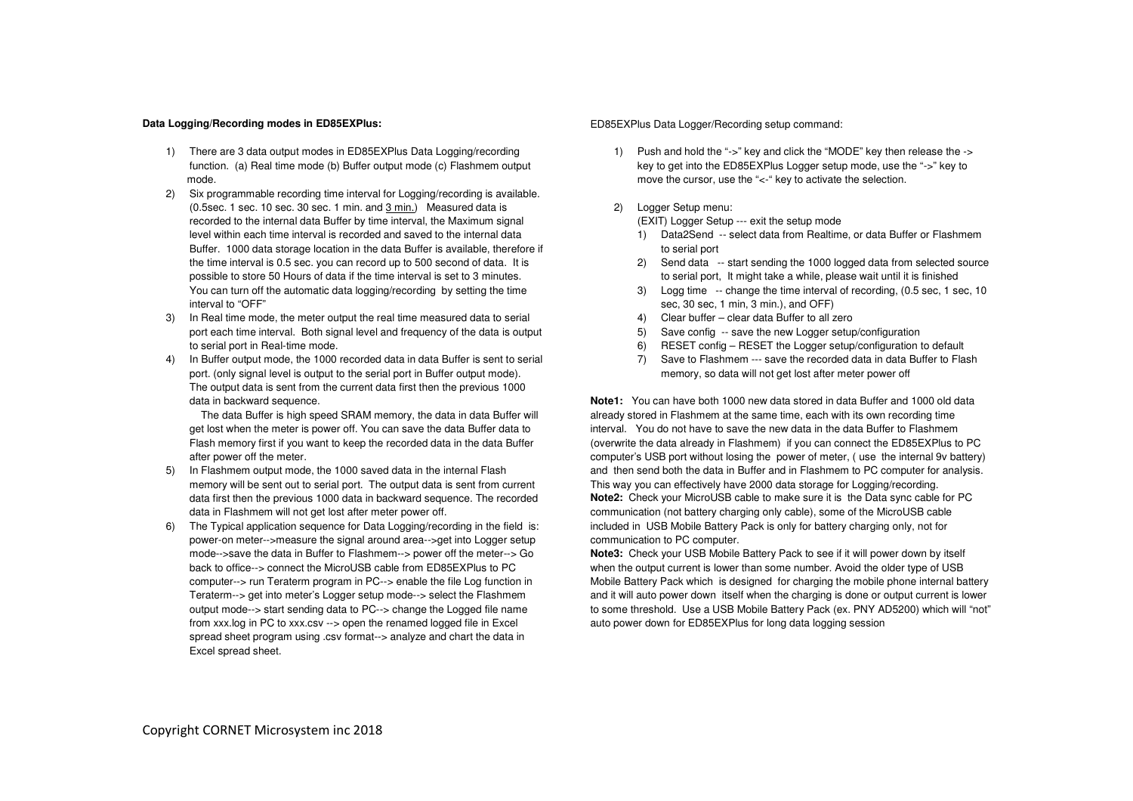#### **Data Logging/Recording modes in ED85EXPlus:**

- 1) There are 3 data output modes in ED85EXPlus Data Logging/recording function. (a) Real time mode (b) Buffer output mode (c) Flashmem output mode.
- 2) Six programmable recording time interval for Logging/recording is available. (0.5sec. 1 sec. 10 sec. 30 sec. 1 min. and 3 min.) Measured data is recorded to the internal data Buffer by time interval, the Maximum signal level within each time interval is recorded and saved to the internal data Buffer. 1000 data storage location in the data Buffer is available, therefore if the time interval is 0.5 sec. you can record up to 500 second of data. It is possible to store 50 Hours of data if the time interval is set to 3 minutes. You can turn off the automatic data logging/recording by setting the time interval to "OFF"
- 3) In Real time mode, the meter output the real time measured data to serial port each time interval. Both signal level and frequency of the data is output to serial port in Real-time mode.
- 4) In Buffer output mode, the 1000 recorded data in data Buffer is sent to serial port. (only signal level is output to the serial port in Buffer output mode). The output data is sent from the current data first then the previous 1000 data in backward sequence.

 The data Buffer is high speed SRAM memory, the data in data Buffer will get lost when the meter is power off. You can save the data Buffer data to Flash memory first if you want to keep the recorded data in the data Buffer after power off the meter.

- 5) In Flashmem output mode, the 1000 saved data in the internal Flash memory will be sent out to serial port. The output data is sent from current data first then the previous 1000 data in backward sequence. The recorded data in Flashmem will not get lost after meter power off.
- 6) The Typical application sequence for Data Logging/recording in the field is: power-on meter-->measure the signal around area-->get into Logger setup mode-->save the data in Buffer to Flashmem--> power off the meter--> Go back to office--> connect the MicroUSB cable from ED85EXPlus to PC computer--> run Teraterm program in PC--> enable the file Log function in Teraterm--> get into meter's Logger setup mode--> select the Flashmem output mode--> start sending data to PC--> change the Logged file name from xxx.log in PC to xxx.csv --> open the renamed logged file in Excel spread sheet program using .csv format--> analyze and chart the data in Excel spread sheet.

#### ED85EXPlus Data Logger/Recording setup command:

- 1) Push and hold the "->" key and click the "MODE" key then release the -> key to get into the ED85EXPlus Logger setup mode, use the "->" key to move the cursor, use the "<-" key to activate the selection.
- 2) Logger Setup menu:
	- (EXIT) Logger Setup --- exit the setup mode
	- 1) Data2Send -- select data from Realtime, or data Buffer or Flashmem to serial port
	- 2) Send data -- start sending the 1000 logged data from selected source to serial port, It might take a while, please wait until it is finished
	- 3) Logg time -- change the time interval of recording, (0.5 sec, 1 sec, 10 sec, 30 sec, 1 min, 3 min.), and OFF)
	- 4) Clear buffer clear data Buffer to all zero
	- 5) Save config -- save the new Logger setup/configuration
	- 6) RESET config RESET the Logger setup/configuration to default
	- 7) Save to Flashmem --- save the recorded data in data Buffer to Flash memory, so data will not get lost after meter power off

**Note1:** You can have both 1000 new data stored in data Buffer and 1000 old data already stored in Flashmem at the same time, each with its own recording time interval. You do not have to save the new data in the data Buffer to Flashmem (overwrite the data already in Flashmem) if you can connect the ED85EXPlus to PC computer's USB port without losing the power of meter, ( use the internal 9v battery) and then send both the data in Buffer and in Flashmem to PC computer for analysis. This way you can effectively have 2000 data storage for Logging/recording. **Note2:** Check your MicroUSB cable to make sure it is the Data sync cable for PC communication (not battery charging only cable), some of the MicroUSB cable included in USB Mobile Battery Pack is only for battery charging only, not for communication to PC computer.

 **Note3:** Check your USB Mobile Battery Pack to see if it will power down by itself when the output current is lower than some number. Avoid the older type of USB Mobile Battery Pack which is designed for charging the mobile phone internal battery and it will auto power down itself when the charging is done or output current is lower to some threshold. Use a USB Mobile Battery Pack (ex. PNY AD5200) which will "not" auto power down for ED85EXPlus for long data logging session